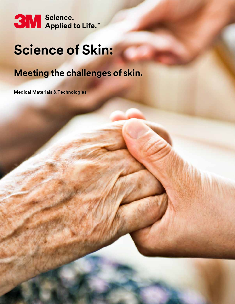

# **Science of Skin:**

# **Meeting the challenges of skin.**

**Medical Materials & Technologies**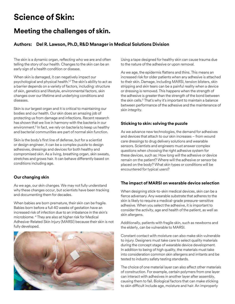## **Science of Skin:**

### **Meeting the challenges of skin.**

#### **Authors: Del R. Lawson, Ph.D, R&D Manager in Medical Solutions Division**

The skin is a dynamic organ, reflecting who we are and often telling the story of our health. Changes to the skin can be an early sign of a health condition or disease.

When skin is damaged, it can negatively impact our psychological and physical health.<sup>1,2</sup> The skin's ability to act as a barrier depends on a variety of factors, including: structure of skin, genetics and lifestyle, environmental factors, skin changes over our lifetime and underlying conditions and diseases.

Skin is our largest organ and it is critical to maintaining our bodies and our health. Our skin does an amazing job of protecting us from damage and infections. Recent research has shown that we live in harmony with the bacteria in our environment.3 In fact, we rely on bacteria to keep us healthy and bacterial communities are part of normal skin function.

Skin is the body's first line of defense, but for a scientist or design engineer, it can be a complex puzzle to design adhesives, dressings and devices for both healthy and compromised skin. As a living, breathing organ, skin sweats, stretches and grows hair. It can behave differently based on conditions including age.

#### **Our changing skin**

As we age, our skin changes. We may not fully understand why these changes occur, but scientists have been tracking and documenting them for decades.

When babies are born premature, their skin can be fragile. Babies born before a full 40 weeks of gestation have an increased risk of infection due to an imbalance in the skin's microbiome. 4 They are also at higher risk for Medical Adhesive-Related Skin Injury (MARSI) because their skin is not fully developed.



Using a tape designed for healthy skin can cause trauma due to the nature of the adhesive or upon removal.

As we age, the epidermis flattens and thins. This means an increased risk for older patients when any adhesive is attached to their skin. Damage, including MARSI, tension blisters, skin stripping and skin tears can be a painful reality when a device or dressing is removed. This happens when the strength of the adhesive is greater than the strength of the bond between the skin cells.<sup>5</sup> That's why it's important to maintain a balance between performance of the adhesive and the maintenance of skin integrity.

#### **Sticking to skin: solving the puzzle**

As we advance new technologies, the demand for adhesives and devices that attach to our skin increases – from wound care dressings to drug delivery solutions and wearable sensors. Scientists and engineers must answer complex questions when choosing the right adhesive system for these devices, such as: How long will the adhesive or device remain on the patient? Where will the adhesive or sensor be placed on the body? What skin types or conditions will be encountered for typical users?

#### **The impact of MARSI on wearable device selection**

When designing stick-to-skin medical devices, skin can be a fierce adversary. Any wearable substrate that adheres to the skin is likely to require a medical-grade pressure-sensitive adhesive. When you select the adhesive, it is important to consider the activity, age and health of the patient, as well as skin allergens.

Additionally, patients with fragile skin, such as newborns and the elderly, can be vulnerable to MARSI.

Constant contact with moisture can also make skin vulnerable to injury. Designers must take care to select quality materials during the concept stage of wearable device development. In addition to being of high quality, the materials must take into consideration common skin allergens and irritants and be tested to industry safety testing standards.

The choice of one material layer can also affect other materials of construction. For example, certain polymers from one layer can interact with adhesives in another layer after assembly, causing them to fail. Biological factors that can make sticking to skin difficult include age, moisture and hair. An improperly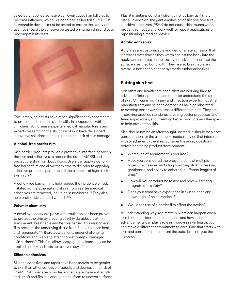selected or applied adhesive can even cause hair follicles to become inflamed, which is a condition called folliculitis. Just as wearable devices must be tested to ensure the safety of the user, so should the adhesive be tested on human skin and pass biocompatibility tests.



Fortunately, scientists have made significant advancements to protect and maintain skin health. In cooperation with clinicians, skin disease experts, medical manufacturers and experts researching the structure of skin have developed innovative solutions that help reduce the risk of skin damage.

#### **Alcohol-free barrier film**

Skin barrier products provide a protective interface between the skin and adhesives to reduce the risk of MARSI and protect the skin from body fluids. Users can apply alcoholfree barrier film and allow them time to dry prior to applying adhesive products, particularly if the patient is at high risk for skin injury.6

Alcohol-free barrier films help reduce the incidence of red, irritated skin (erythema) and skin stripping after medical adhesives are removed, including in newborns.<sup>7,8</sup> They also help protect skin around wounds.<sup>9,10</sup>

#### **Polymer chemistry**

A novel cyanoacrylate polymer formulation has been proven to protect the skin by creating a highly durable, ultra-thin, transparent, breathable and flexible barrier. This elastomeric film protects the underlying tissue from fluids, so it can heal and regenerate.<sup>11,12</sup> It protects patients under challenging conditions and is able to attach to wet, weepy, damaged skin surfaces.13 This film allows easy, gentle cleansing, can be applied quickly and lasts up to seven days.<sup>14</sup>

#### **Silicone adhesives**

Silicone adhesives and tapes have been shown to be gentler to skin than other adhesive products and decrease the risk of MARSI. Silicone tape provides immediate adhesive strength and is soft and flexible enough to conform to uneven surfaces. Plus, it maintains constant strength for as long as it's left in place. In addition, the gentle adhesion of silicone pressuresensitive adhesives (PSAs) do not cause skin trauma when properly removed and work well for repeat applications or repositioning a medical device.

#### **Acrylic adhesives**

Acrylates are customizable and demonstrate adhesion that increases over time as they warm against the body into the nooks and crannies on the top layer of skin and increase the surface area they bond with. They're also breathable and, overall, a better choice than synthetic rubber adhesives.

#### **Putting skin first**

Scientists and health care specialists are working hard to advance clinical practice and to better understand the science of skin. Clinicians, skin injury and infection experts, industrial manufacturers and science companies have collaborated to develop better ways to assess different patients. They are improving practice standards, creating better processes and team approaches, and inventing better products and therapies to help protect the skin.

Skin should not be an afterthought. Instead, it should be a core consideration for the use of any medical device that interacts with or adheres to the skin. Consider these key questions before beginning product development:

- What type of securement is required?
- Have you considered the pros and cons of multiple types of adhesives, including how they stick to the skin, gentleness, and ability to adhere for different lengths of time?
- How will your product be tested and how will testing integrate skin safety?
- Does your team have experience in skin science and knowledge of best practices?
- Would the use of a barrier film effect the device?

By understanding why skin matters, what can happen when skin is not considered or maintained, and how scientific advancements can play a role in improving skin health, you can make a different commitment to care. One that starts with skin and considers people from the outside in, not just the inside out.